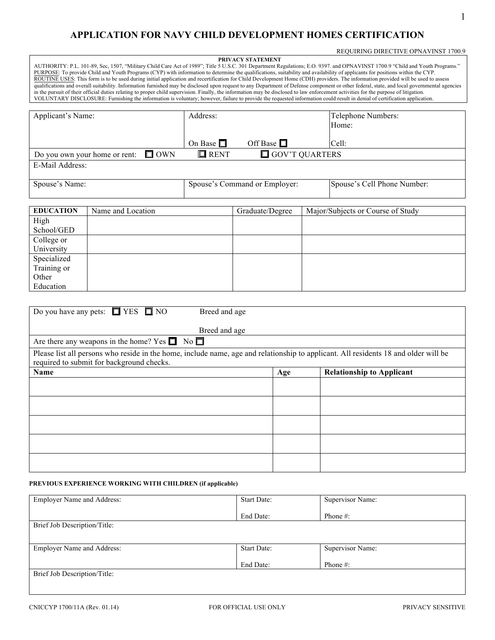REQUIRING DIRECTIVE OPNAVINST 1700.9

## **APPLICATION FOR NAVY CHILD DEVELOPMENT HOMES CERTIFICATION**

| REQUIRING DIRECTIVE OPNAVINST 1700.9<br>PRIVACY STATEMENT<br>AUTHORITY: P.L. 101-89, Sec, 1507, "Military Child Care Act of 1989"; Title 5 U.S.C. 301 Department Regulations; E.O. 9397. and OPNAVINST 1700.9 "Child and Youth Programs."<br>PURPOSE: To provide Child and Youth Programs (CYP) with information to determine the qualifications, suitability and availability of applicants for positions within the CYP.<br>ROUTINE USES: This form is to be used during initial application and recertification for Child Development Home (CDH) providers. The information provided will be used to assess<br>qualifications and overall suitability. Information furnished may be disclosed upon request to any Department of Defense component or other federal, state, and local governmental agencies<br>in the pursuit of their official duties relating to proper child supervision. Finally, the information may be disclosed to law enforcement activities for the purpose of litigation.<br>VOLUNTARY DISCLOSURE: Furnishing the information is voluntary; however, failure to provide the requested information could result in denial of certification application. |                                                           |                                      |                       |  |                                   |  |  |  |
|------------------------------------------------------------------------------------------------------------------------------------------------------------------------------------------------------------------------------------------------------------------------------------------------------------------------------------------------------------------------------------------------------------------------------------------------------------------------------------------------------------------------------------------------------------------------------------------------------------------------------------------------------------------------------------------------------------------------------------------------------------------------------------------------------------------------------------------------------------------------------------------------------------------------------------------------------------------------------------------------------------------------------------------------------------------------------------------------------------------------------------------------------------------------------------|-----------------------------------------------------------|--------------------------------------|-----------------------|--|-----------------------------------|--|--|--|
| Applicant's Name:                                                                                                                                                                                                                                                                                                                                                                                                                                                                                                                                                                                                                                                                                                                                                                                                                                                                                                                                                                                                                                                                                                                                                                  |                                                           | Address:                             |                       |  | Telephone Numbers:                |  |  |  |
|                                                                                                                                                                                                                                                                                                                                                                                                                                                                                                                                                                                                                                                                                                                                                                                                                                                                                                                                                                                                                                                                                                                                                                                    |                                                           |                                      |                       |  | Home:                             |  |  |  |
|                                                                                                                                                                                                                                                                                                                                                                                                                                                                                                                                                                                                                                                                                                                                                                                                                                                                                                                                                                                                                                                                                                                                                                                    |                                                           | On Base $\Box$<br>Off Base $\square$ |                       |  | Cell:                             |  |  |  |
| $\Box$ OWN<br>Do you own your home or rent:                                                                                                                                                                                                                                                                                                                                                                                                                                                                                                                                                                                                                                                                                                                                                                                                                                                                                                                                                                                                                                                                                                                                        |                                                           | $\blacksquare$ RENT                  | $\Box$ GOV'T QUARTERS |  |                                   |  |  |  |
| E-Mail Address:                                                                                                                                                                                                                                                                                                                                                                                                                                                                                                                                                                                                                                                                                                                                                                                                                                                                                                                                                                                                                                                                                                                                                                    |                                                           |                                      |                       |  |                                   |  |  |  |
| Spouse's Name:                                                                                                                                                                                                                                                                                                                                                                                                                                                                                                                                                                                                                                                                                                                                                                                                                                                                                                                                                                                                                                                                                                                                                                     |                                                           | Spouse's Command or Employer:        |                       |  | Spouse's Cell Phone Number:       |  |  |  |
| <b>EDUCATION</b>                                                                                                                                                                                                                                                                                                                                                                                                                                                                                                                                                                                                                                                                                                                                                                                                                                                                                                                                                                                                                                                                                                                                                                   | Name and Location                                         |                                      | Graduate/Degree       |  | Major/Subjects or Course of Study |  |  |  |
| High                                                                                                                                                                                                                                                                                                                                                                                                                                                                                                                                                                                                                                                                                                                                                                                                                                                                                                                                                                                                                                                                                                                                                                               |                                                           |                                      |                       |  |                                   |  |  |  |
| School/GED<br>College or                                                                                                                                                                                                                                                                                                                                                                                                                                                                                                                                                                                                                                                                                                                                                                                                                                                                                                                                                                                                                                                                                                                                                           |                                                           |                                      |                       |  |                                   |  |  |  |
| University                                                                                                                                                                                                                                                                                                                                                                                                                                                                                                                                                                                                                                                                                                                                                                                                                                                                                                                                                                                                                                                                                                                                                                         |                                                           |                                      |                       |  |                                   |  |  |  |
| Specialized                                                                                                                                                                                                                                                                                                                                                                                                                                                                                                                                                                                                                                                                                                                                                                                                                                                                                                                                                                                                                                                                                                                                                                        |                                                           |                                      |                       |  |                                   |  |  |  |
| Training or<br>Other                                                                                                                                                                                                                                                                                                                                                                                                                                                                                                                                                                                                                                                                                                                                                                                                                                                                                                                                                                                                                                                                                                                                                               |                                                           |                                      |                       |  |                                   |  |  |  |
| Education                                                                                                                                                                                                                                                                                                                                                                                                                                                                                                                                                                                                                                                                                                                                                                                                                                                                                                                                                                                                                                                                                                                                                                          |                                                           |                                      |                       |  |                                   |  |  |  |
|                                                                                                                                                                                                                                                                                                                                                                                                                                                                                                                                                                                                                                                                                                                                                                                                                                                                                                                                                                                                                                                                                                                                                                                    |                                                           |                                      |                       |  |                                   |  |  |  |
| Do you have any pets: $\Box$ YES $\Box$ NO<br>Breed and age<br>Breed and age                                                                                                                                                                                                                                                                                                                                                                                                                                                                                                                                                                                                                                                                                                                                                                                                                                                                                                                                                                                                                                                                                                       |                                                           |                                      |                       |  |                                   |  |  |  |
|                                                                                                                                                                                                                                                                                                                                                                                                                                                                                                                                                                                                                                                                                                                                                                                                                                                                                                                                                                                                                                                                                                                                                                                    | No<br>Are there any weapons in the home? Yes $\Box$       |                                      |                       |  |                                   |  |  |  |
| Please list all persons who reside in the home, include name, age and relationship to applicant. All residents 18 and older will be<br>required to submit for background checks.                                                                                                                                                                                                                                                                                                                                                                                                                                                                                                                                                                                                                                                                                                                                                                                                                                                                                                                                                                                                   |                                                           |                                      |                       |  |                                   |  |  |  |
| Name                                                                                                                                                                                                                                                                                                                                                                                                                                                                                                                                                                                                                                                                                                                                                                                                                                                                                                                                                                                                                                                                                                                                                                               |                                                           |                                      | Age                   |  | <b>Relationship to Applicant</b>  |  |  |  |
|                                                                                                                                                                                                                                                                                                                                                                                                                                                                                                                                                                                                                                                                                                                                                                                                                                                                                                                                                                                                                                                                                                                                                                                    |                                                           |                                      |                       |  |                                   |  |  |  |
|                                                                                                                                                                                                                                                                                                                                                                                                                                                                                                                                                                                                                                                                                                                                                                                                                                                                                                                                                                                                                                                                                                                                                                                    |                                                           |                                      |                       |  |                                   |  |  |  |
|                                                                                                                                                                                                                                                                                                                                                                                                                                                                                                                                                                                                                                                                                                                                                                                                                                                                                                                                                                                                                                                                                                                                                                                    |                                                           |                                      |                       |  |                                   |  |  |  |
|                                                                                                                                                                                                                                                                                                                                                                                                                                                                                                                                                                                                                                                                                                                                                                                                                                                                                                                                                                                                                                                                                                                                                                                    |                                                           |                                      |                       |  |                                   |  |  |  |
|                                                                                                                                                                                                                                                                                                                                                                                                                                                                                                                                                                                                                                                                                                                                                                                                                                                                                                                                                                                                                                                                                                                                                                                    |                                                           |                                      |                       |  |                                   |  |  |  |
|                                                                                                                                                                                                                                                                                                                                                                                                                                                                                                                                                                                                                                                                                                                                                                                                                                                                                                                                                                                                                                                                                                                                                                                    |                                                           |                                      |                       |  |                                   |  |  |  |
|                                                                                                                                                                                                                                                                                                                                                                                                                                                                                                                                                                                                                                                                                                                                                                                                                                                                                                                                                                                                                                                                                                                                                                                    |                                                           |                                      |                       |  |                                   |  |  |  |
|                                                                                                                                                                                                                                                                                                                                                                                                                                                                                                                                                                                                                                                                                                                                                                                                                                                                                                                                                                                                                                                                                                                                                                                    | PREVIOUS EXPERIENCE WORKING WITH CHILDREN (if applicable) |                                      |                       |  |                                   |  |  |  |
| Employer Name and Address:                                                                                                                                                                                                                                                                                                                                                                                                                                                                                                                                                                                                                                                                                                                                                                                                                                                                                                                                                                                                                                                                                                                                                         |                                                           |                                      | Start Date:           |  | Supervisor Name:                  |  |  |  |
|                                                                                                                                                                                                                                                                                                                                                                                                                                                                                                                                                                                                                                                                                                                                                                                                                                                                                                                                                                                                                                                                                                                                                                                    |                                                           |                                      | End Date:             |  | Phone #:                          |  |  |  |
| Brief Job Description/Title:                                                                                                                                                                                                                                                                                                                                                                                                                                                                                                                                                                                                                                                                                                                                                                                                                                                                                                                                                                                                                                                                                                                                                       |                                                           |                                      |                       |  |                                   |  |  |  |
| <b>Employer Name and Address:</b>                                                                                                                                                                                                                                                                                                                                                                                                                                                                                                                                                                                                                                                                                                                                                                                                                                                                                                                                                                                                                                                                                                                                                  |                                                           |                                      | Start Date:           |  | Supervisor Name:                  |  |  |  |
|                                                                                                                                                                                                                                                                                                                                                                                                                                                                                                                                                                                                                                                                                                                                                                                                                                                                                                                                                                                                                                                                                                                                                                                    |                                                           | End Date:                            |                       |  | Phone #:                          |  |  |  |
| Brief Job Description/Title:                                                                                                                                                                                                                                                                                                                                                                                                                                                                                                                                                                                                                                                                                                                                                                                                                                                                                                                                                                                                                                                                                                                                                       |                                                           |                                      |                       |  |                                   |  |  |  |
|                                                                                                                                                                                                                                                                                                                                                                                                                                                                                                                                                                                                                                                                                                                                                                                                                                                                                                                                                                                                                                                                                                                                                                                    |                                                           |                                      |                       |  |                                   |  |  |  |